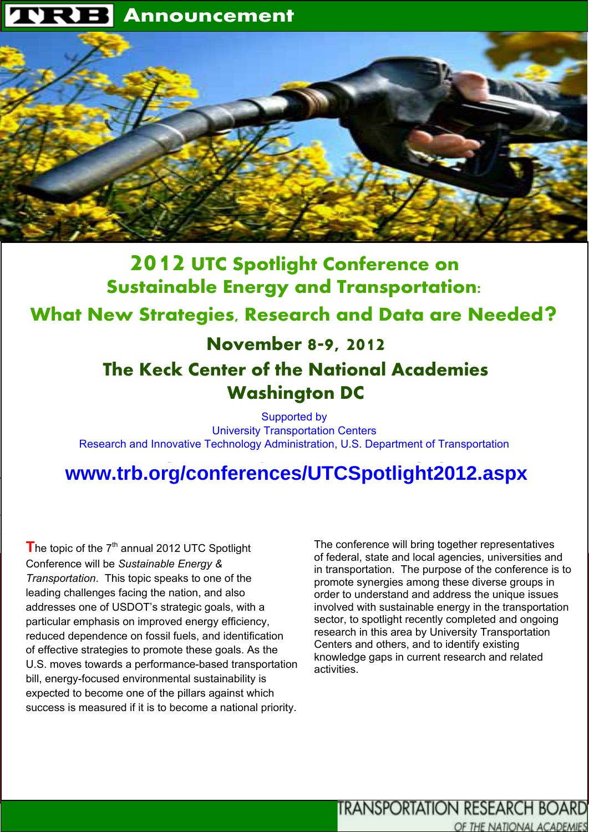

# **2012 UTC Spotlight Conference on <br>
2012 UTC Spotlight Conference on Asset Management** What New Strategies, Research and Data are Needed? **Sustainable Energy and Transportation:**

# $\mathbf{A}$ The Keck Center of the National Academies **Washington DC November 8-9, 2012**

**WALDERS WEIGHT COMPLICE ASSETS** management principles. Speakers will provide guidance **Washington DC**<br> **Examplementary Supportation Centers**<br> **WWW.trb.org/conferences/UTCSpotlight2012.aspx** Supported by Research and Innovative Technology Administration, U.S. Department of Transportation

### **The Transportation Research Board and Transportation Comparishers** www.up.org/complem OFFORMALLALLARED ACCEPTS AND

• **Track 1** Conference will be *Sustainable Energy & Transportation*. This topic speaks to one of the bill, energy-focused environmental sustainability is **Party Strongy Tooksock Strim String** expected to become one of the pillars against which success is measured if it is to become a national priority. The topic of the 7<sup>th</sup> annual 2012 UTC Spotlight leading challenges facing the nation, and also addresses one of USDOT's strategic goals, with a particular emphasis on improved energy efficiency, reduced dependence on fossil fuels, and identification of effective strategies to promote these goals. As the U.S. moves towards a performance-based transportation

host the 9th National Conference on Transportation Asset Management April 16–18, 2012, in San Diego, California.  $T$ ransportation agencies will have a forum to identify  $\mathcal{L}_\mathcal{A}$ 

successful strategies for implementing transportation asset

in transportation. The purpose of the conference is to promote synergies among these diverse groups in order to understand and address the unique issues involved with sustainable energy in the transportation sector, to spotlight recently completed and ongoing research in this area by University Transportation through an analytical collection, using collections of the collection contains and others, and to identify existing tools, and target setting. knowledge gaps in current research and related • **Transit State of Good Repair** activities. The conference will bring together representatives of federal, state and local agencies, universities and